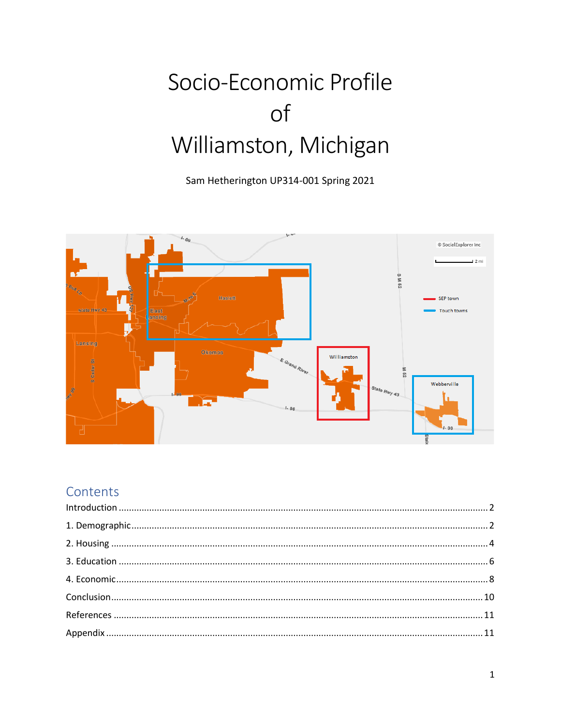# Socio-Economic Profile of Williamston, Michigan

Sam Hetherington UP314-001 Spring 2021



## Contents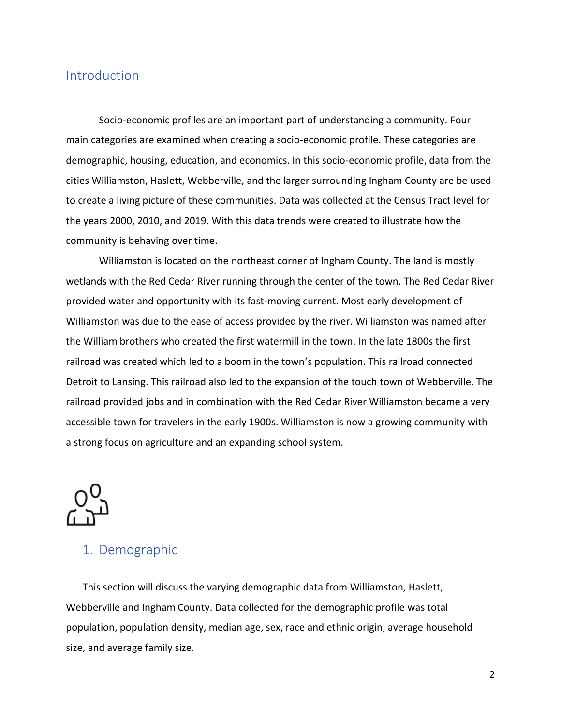### <span id="page-1-0"></span>Introduction

Socio-economic profiles are an important part of understanding a community. Four main categories are examined when creating a socio-economic profile. These categories are demographic, housing, education, and economics. In this socio-economic profile, data from the cities Williamston, Haslett, Webberville, and the larger surrounding Ingham County are be used to create a living picture of these communities. Data was collected at the Census Tract level for the years 2000, 2010, and 2019. With this data trends were created to illustrate how the community is behaving over time.

Williamston is located on the northeast corner of Ingham County. The land is mostly wetlands with the Red Cedar River running through the center of the town. The Red Cedar River provided water and opportunity with its fast-moving current. Most early development of Williamston was due to the ease of access provided by the river. Williamston was named after the William brothers who created the first watermill in the town. In the late 1800s the first railroad was created which led to a boom in the town's population. This railroad connected Detroit to Lansing. This railroad also led to the expansion of the touch town of Webberville. The railroad provided jobs and in combination with the Red Cedar River Williamston became a very accessible town for travelers in the early 1900s. Williamston is now a growing community with a strong focus on agriculture and an expanding school system.



### <span id="page-1-1"></span>1. Demographic

This section will discuss the varying demographic data from Williamston, Haslett, Webberville and Ingham County. Data collected for the demographic profile was total population, population density, median age, sex, race and ethnic origin, average household size, and average family size.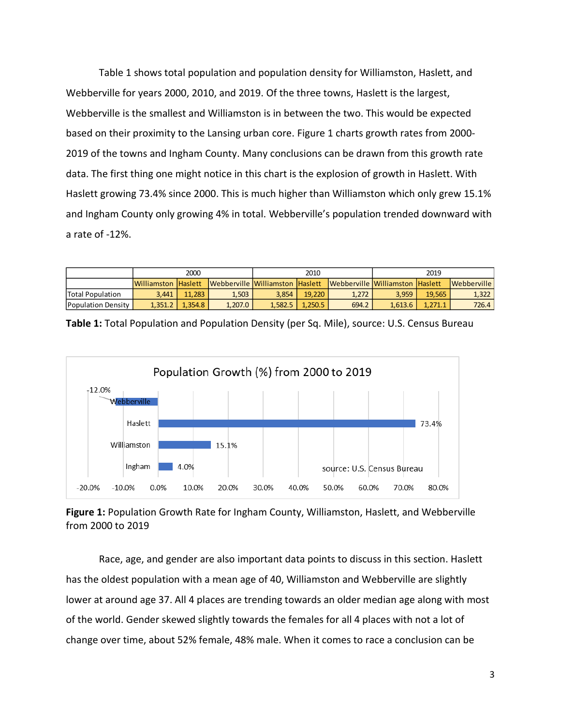Table 1 shows total population and population density for Williamston, Haslett, and Webberville for years 2000, 2010, and 2019. Of the three towns, Haslett is the largest, Webberville is the smallest and Williamston is in between the two. This would be expected based on their proximity to the Lansing urban core. Figure 1 charts growth rates from 2000- 2019 of the towns and Ingham County. Many conclusions can be drawn from this growth rate data. The first thing one might notice in this chart is the explosion of growth in Haslett. With Haslett growing 73.4% since 2000. This is much higher than Williamston which only grew 15.1% and Ingham County only growing 4% in total. Webberville's population trended downward with a rate of -12%.

|                           | 2000                |         |                                 | 2010    |         |                                 | 2019    |         |             |
|---------------------------|---------------------|---------|---------------------------------|---------|---------|---------------------------------|---------|---------|-------------|
|                           | Williamston Haslett |         | Webberville Williamston Haslett |         |         | Webberville Williamston Haslett |         |         | Webberville |
| <b>Total Population</b>   | 3.441               | 11.283  | 1.503                           | 3.854   | 19.220  | 1.272                           | 3.959   | 19.565  | 1,322       |
| <b>Population Density</b> | 1.351.2             | 1.354.8 | 1.207.0                         | 1.582.5 | 1.250.5 | 694.2                           | 1.613.6 | 1.271.1 | 726.4       |



**Table 1:** Total Population and Population Density (per Sq. Mile), source: U.S. Census Bureau

### **Figure 1:** Population Growth Rate for Ingham County, Williamston, Haslett, and Webberville from 2000 to 2019

Race, age, and gender are also important data points to discuss in this section. Haslett has the oldest population with a mean age of 40, Williamston and Webberville are slightly lower at around age 37. All 4 places are trending towards an older median age along with most of the world. Gender skewed slightly towards the females for all 4 places with not a lot of change over time, about 52% female, 48% male. When it comes to race a conclusion can be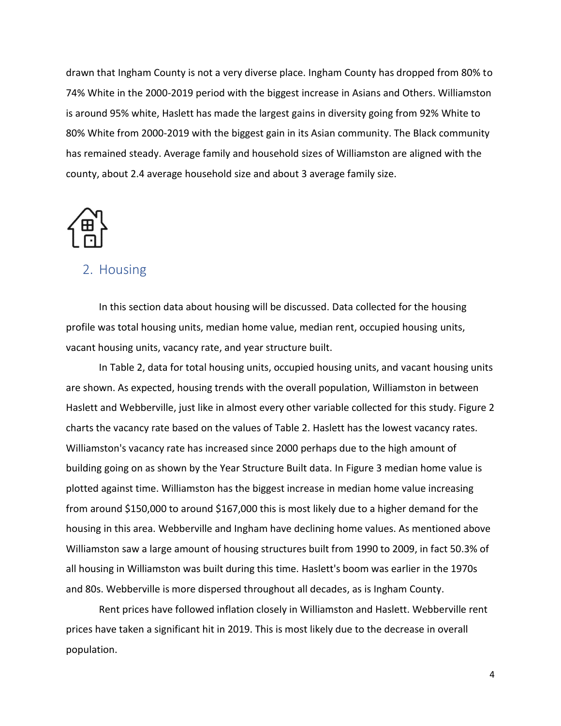drawn that Ingham County is not a very diverse place. Ingham County has dropped from 80% to 74% White in the 2000-2019 period with the biggest increase in Asians and Others. Williamston is around 95% white, Haslett has made the largest gains in diversity going from 92% White to 80% White from 2000-2019 with the biggest gain in its Asian community. The Black community has remained steady. Average family and household sizes of Williamston are aligned with the county, about 2.4 average household size and about 3 average family size.

![](_page_3_Picture_1.jpeg)

### <span id="page-3-0"></span>2. Housing

In this section data about housing will be discussed. Data collected for the housing profile was total housing units, median home value, median rent, occupied housing units, vacant housing units, vacancy rate, and year structure built.

In Table 2, data for total housing units, occupied housing units, and vacant housing units are shown. As expected, housing trends with the overall population, Williamston in between Haslett and Webberville, just like in almost every other variable collected for this study. Figure 2 charts the vacancy rate based on the values of Table 2. Haslett has the lowest vacancy rates. Williamston's vacancy rate has increased since 2000 perhaps due to the high amount of building going on as shown by the Year Structure Built data. In Figure 3 median home value is plotted against time. Williamston has the biggest increase in median home value increasing from around \$150,000 to around \$167,000 this is most likely due to a higher demand for the housing in this area. Webberville and Ingham have declining home values. As mentioned above Williamston saw a large amount of housing structures built from 1990 to 2009, in fact 50.3% of all housing in Williamston was built during this time. Haslett's boom was earlier in the 1970s and 80s. Webberville is more dispersed throughout all decades, as is Ingham County.

Rent prices have followed inflation closely in Williamston and Haslett. Webberville rent prices have taken a significant hit in 2019. This is most likely due to the decrease in overall population.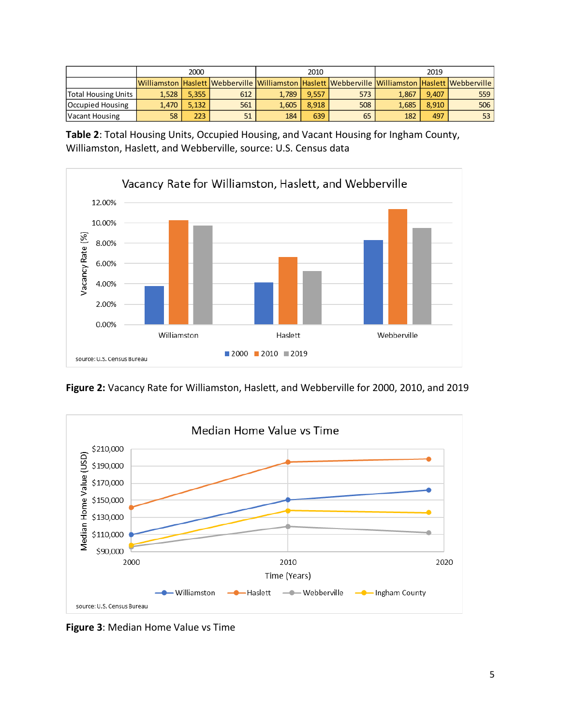|                            | 2000  |         |                                                                                                 |       | 2010  |     | 2019  |       |       |
|----------------------------|-------|---------|-------------------------------------------------------------------------------------------------|-------|-------|-----|-------|-------|-------|
|                            |       |         | Williamston Haslett Webberville Williamston Haslett Webberville Williamston Haslett Webberville |       |       |     |       |       |       |
| <b>Total Housing Units</b> | 1,528 | 5.355   | 612                                                                                             | 1.789 | 9.557 | 573 | 1.867 | 9.407 | 559 l |
| Occupied Housing           | 1.470 | 5.132   | 561                                                                                             | 1.605 | 8.918 | 508 | 1.685 | 8.910 | 506   |
| Vacant Housing             | 58    | $223 -$ | 51                                                                                              | 184   | 639   | 65  | 182   | 497   | 53 I  |

**Table 2**: Total Housing Units, Occupied Housing, and Vacant Housing for Ingham County, Williamston, Haslett, and Webberville, source: U.S. Census data

![](_page_4_Figure_2.jpeg)

**Figure 2:** Vacancy Rate for Williamston, Haslett, and Webberville for 2000, 2010, and 2019

![](_page_4_Figure_4.jpeg)

**Figure 3**: Median Home Value vs Time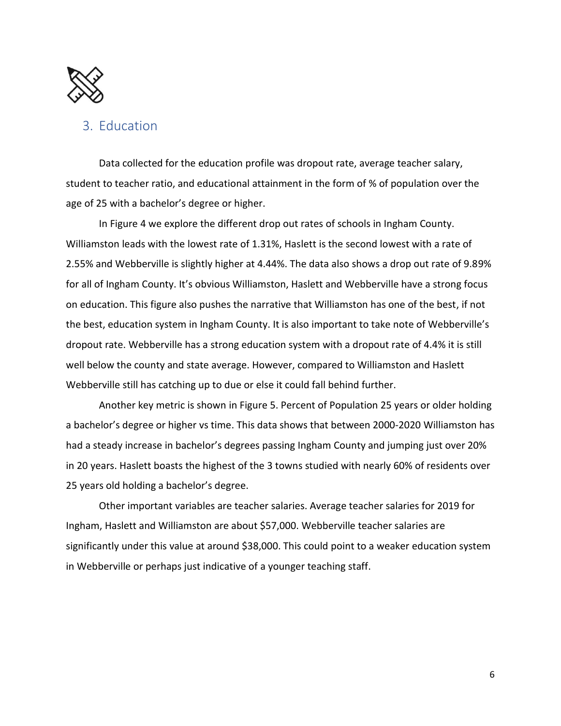![](_page_5_Picture_0.jpeg)

### <span id="page-5-0"></span>3. Education

Data collected for the education profile was dropout rate, average teacher salary, student to teacher ratio, and educational attainment in the form of % of population over the age of 25 with a bachelor's degree or higher.

In Figure 4 we explore the different drop out rates of schools in Ingham County. Williamston leads with the lowest rate of 1.31%, Haslett is the second lowest with a rate of 2.55% and Webberville is slightly higher at 4.44%. The data also shows a drop out rate of 9.89% for all of Ingham County. It's obvious Williamston, Haslett and Webberville have a strong focus on education. This figure also pushes the narrative that Williamston has one of the best, if not the best, education system in Ingham County. It is also important to take note of Webberville's dropout rate. Webberville has a strong education system with a dropout rate of 4.4% it is still well below the county and state average. However, compared to Williamston and Haslett Webberville still has catching up to due or else it could fall behind further.

Another key metric is shown in Figure 5. Percent of Population 25 years or older holding a bachelor's degree or higher vs time. This data shows that between 2000-2020 Williamston has had a steady increase in bachelor's degrees passing Ingham County and jumping just over 20% in 20 years. Haslett boasts the highest of the 3 towns studied with nearly 60% of residents over 25 years old holding a bachelor's degree.

Other important variables are teacher salaries. Average teacher salaries for 2019 for Ingham, Haslett and Williamston are about \$57,000. Webberville teacher salaries are significantly under this value at around \$38,000. This could point to a weaker education system in Webberville or perhaps just indicative of a younger teaching staff.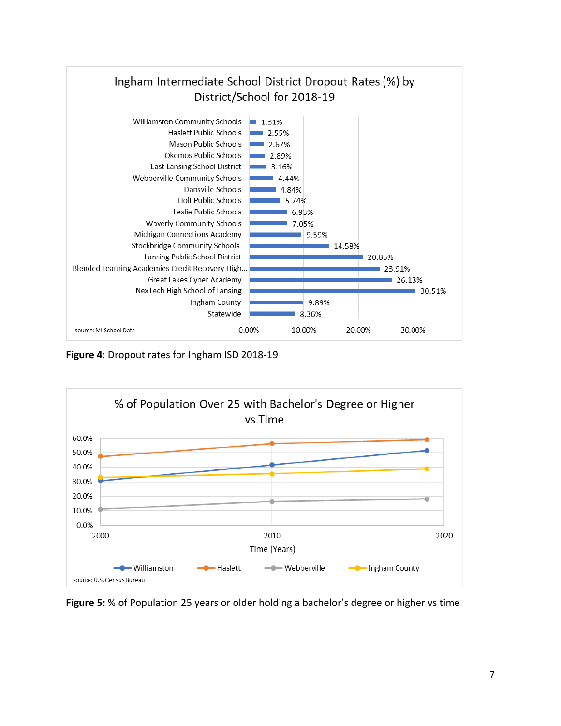![](_page_6_Figure_0.jpeg)

**Figure 4**: Dropout rates for Ingham ISD 2018-19

![](_page_6_Figure_2.jpeg)

**Figure 5:** % of Population 25 years or older holding a bachelor's degree or higher vs time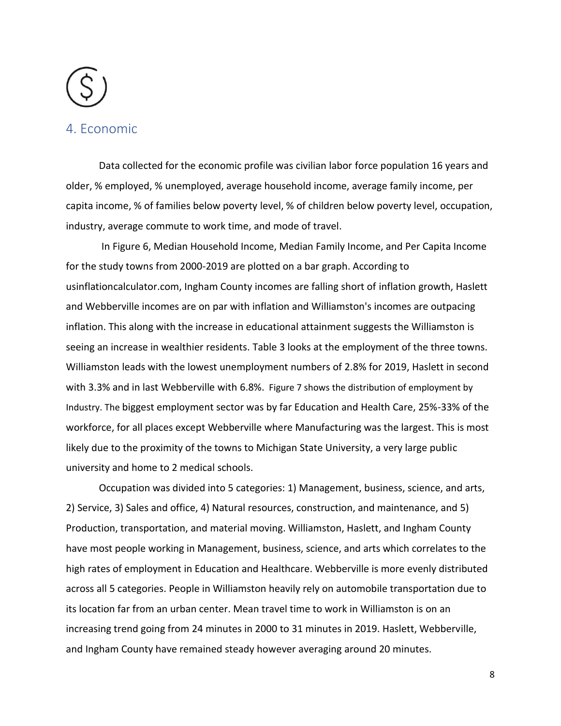### <span id="page-7-0"></span>4. Economic

Data collected for the economic profile was civilian labor force population 16 years and older, % employed, % unemployed, average household income, average family income, per capita income, % of families below poverty level, % of children below poverty level, occupation, industry, average commute to work time, and mode of travel.

In Figure 6, Median Household Income, Median Family Income, and Per Capita Income for the study towns from 2000-2019 are plotted on a bar graph. According to usinflationcalculator.com, Ingham County incomes are falling short of inflation growth, Haslett and Webberville incomes are on par with inflation and Williamston's incomes are outpacing inflation. This along with the increase in educational attainment suggests the Williamston is seeing an increase in wealthier residents. Table 3 looks at the employment of the three towns. Williamston leads with the lowest unemployment numbers of 2.8% for 2019, Haslett in second with 3.3% and in last Webberville with 6.8%. Figure 7 shows the distribution of employment by Industry. The biggest employment sector was by far Education and Health Care, 25%-33% of the workforce, for all places except Webberville where Manufacturing was the largest. This is most likely due to the proximity of the towns to Michigan State University, a very large public university and home to 2 medical schools.

Occupation was divided into 5 categories: 1) Management, business, science, and arts, 2) Service, 3) Sales and office, 4) Natural resources, construction, and maintenance, and 5) Production, transportation, and material moving. Williamston, Haslett, and Ingham County have most people working in Management, business, science, and arts which correlates to the high rates of employment in Education and Healthcare. Webberville is more evenly distributed across all 5 categories. People in Williamston heavily rely on automobile transportation due to its location far from an urban center. Mean travel time to work in Williamston is on an increasing trend going from 24 minutes in 2000 to 31 minutes in 2019. Haslett, Webberville, and Ingham County have remained steady however averaging around 20 minutes.

8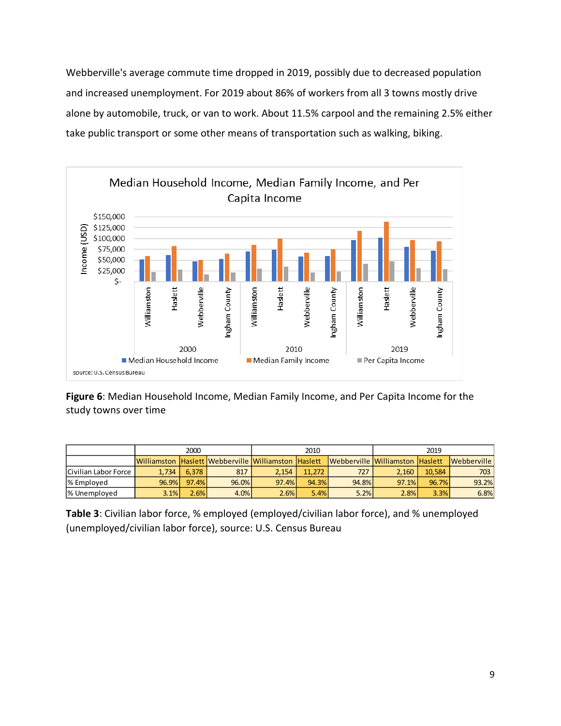Webberville's average commute time dropped in 2019, possibly due to decreased population and increased unemployment. For 2019 about 86% of workers from all 3 towns mostly drive alone by automobile, truck, or van to work. About 11.5% carpool and the remaining 2.5% either take public transport or some other means of transportation such as walking, biking.

![](_page_8_Figure_1.jpeg)

**Figure 6**: Median Household Income, Median Family Income, and Per Capita Income for the study towns over time

|                           | 2000  |       |                                                     | 2010  |        |                                 | 2019  |        |             |
|---------------------------|-------|-------|-----------------------------------------------------|-------|--------|---------------------------------|-------|--------|-------------|
|                           |       |       | Williamston Haslett Webberville Williamston Haslett |       |        | Webberville Williamston Haslett |       |        | Webberville |
| Civilian Labor Force      | 1.734 | 6.378 | 817                                                 | 2.154 | 11.272 | 727                             | 2.160 | 10.584 | 703         |
| % Employed                | 96.9% | 97.4% | 96.0%                                               | 97.4% | 94.3%  | 94.8%                           | 97.1% | 96.7%  | 93.2%       |
| <sup>1</sup> % Unemploved | 3.1%  | 2.6%  | 4.0%                                                | 2.6%  | 5.4%   | 5.2%                            | 2.8%  | 3.3%   | 6.8%        |

**Table 3**: Civilian labor force, % employed (employed/civilian labor force), and % unemployed (unemployed/civilian labor force), source: U.S. Census Bureau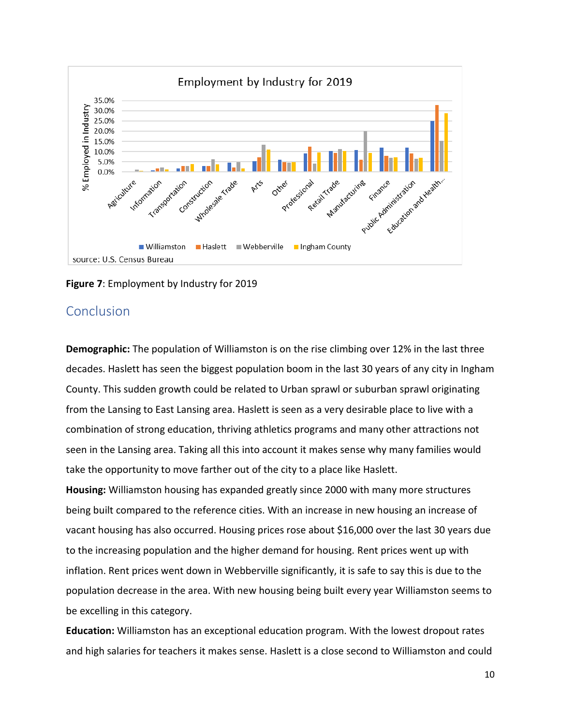![](_page_9_Figure_0.jpeg)

**Figure 7**: Employment by Industry for 2019

### <span id="page-9-0"></span>Conclusion

**Demographic:** The population of Williamston is on the rise climbing over 12% in the last three decades. Haslett has seen the biggest population boom in the last 30 years of any city in Ingham County. This sudden growth could be related to Urban sprawl or suburban sprawl originating from the Lansing to East Lansing area. Haslett is seen as a very desirable place to live with a combination of strong education, thriving athletics programs and many other attractions not seen in the Lansing area. Taking all this into account it makes sense why many families would take the opportunity to move farther out of the city to a place like Haslett.

**Housing:** Williamston housing has expanded greatly since 2000 with many more structures being built compared to the reference cities. With an increase in new housing an increase of vacant housing has also occurred. Housing prices rose about \$16,000 over the last 30 years due to the increasing population and the higher demand for housing. Rent prices went up with inflation. Rent prices went down in Webberville significantly, it is safe to say this is due to the population decrease in the area. With new housing being built every year Williamston seems to be excelling in this category.

**Education:** Williamston has an exceptional education program. With the lowest dropout rates and high salaries for teachers it makes sense. Haslett is a close second to Williamston and could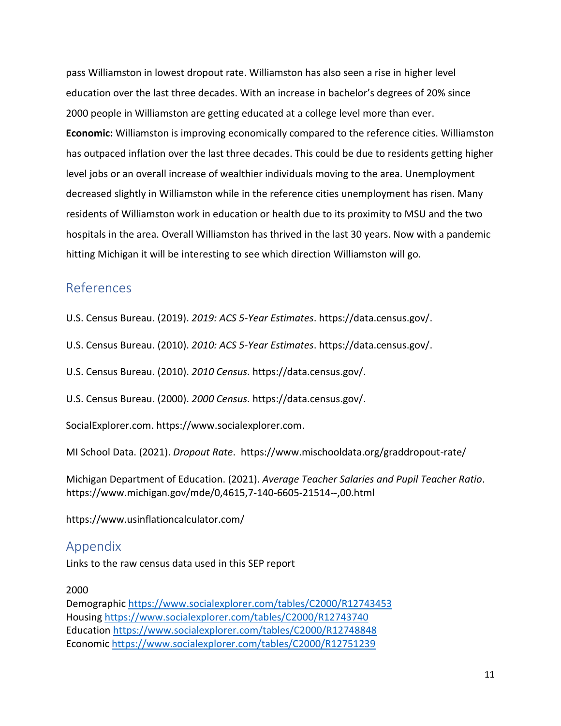pass Williamston in lowest dropout rate. Williamston has also seen a rise in higher level education over the last three decades. With an increase in bachelor's degrees of 20% since 2000 people in Williamston are getting educated at a college level more than ever. **Economic:** Williamston is improving economically compared to the reference cities. Williamston has outpaced inflation over the last three decades. This could be due to residents getting higher level jobs or an overall increase of wealthier individuals moving to the area. Unemployment decreased slightly in Williamston while in the reference cities unemployment has risen. Many residents of Williamston work in education or health due to its proximity to MSU and the two hospitals in the area. Overall Williamston has thrived in the last 30 years. Now with a pandemic hitting Michigan it will be interesting to see which direction Williamston will go.

### <span id="page-10-0"></span>References

U.S. Census Bureau. (2019). *2019: ACS 5-Year Estimates*. https://data.census.gov/.

U.S. Census Bureau. (2010). *2010: ACS 5-Year Estimates*. https://data.census.gov/.

U.S. Census Bureau. (2010). *2010 Census*. https://data.census.gov/.

U.S. Census Bureau. (2000). *2000 Census*. https://data.census.gov/.

SocialExplorer.com. https://www.socialexplorer.com.

MI School Data. (2021). *Dropout Rate*. https://www.mischooldata.org/graddropout-rate/

Michigan Department of Education. (2021). *Average Teacher Salaries and Pupil Teacher Ratio*. https://www.michigan.gov/mde/0,4615,7-140-6605-21514--,00.html

<span id="page-10-1"></span>https://www.usinflationcalculator.com/

### Appendix

Links to the raw census data used in this SEP report

### 2000

Demographic <https://www.socialexplorer.com/tables/C2000/R12743453> Housing <https://www.socialexplorer.com/tables/C2000/R12743740> Education<https://www.socialexplorer.com/tables/C2000/R12748848> Economic <https://www.socialexplorer.com/tables/C2000/R12751239>